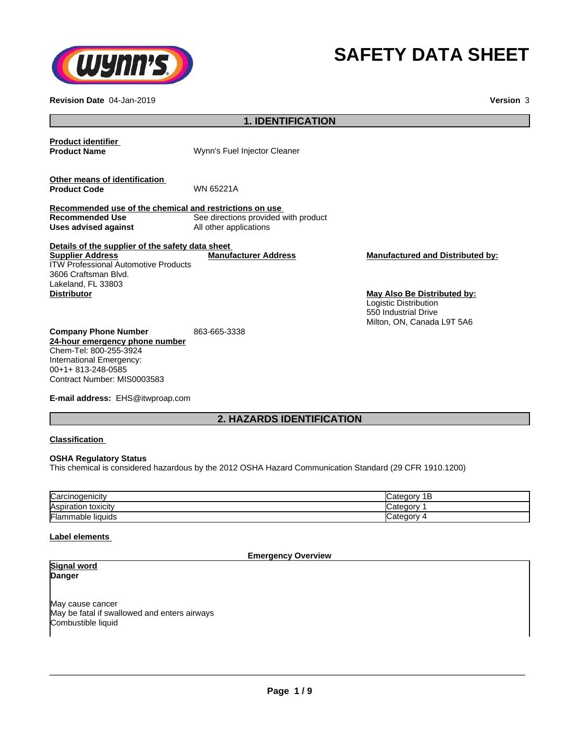

# **SAFETY DATA SHEET**

**Revision Date** 04-Jan-2019 **Version** 3

# **1. IDENTIFICATION Product identifier Wynn's Fuel Injector Cleaner Other means of identification Product Code** WN 65221A **Recommended use of the chemical and restrictions on use** See directions provided with product<br>All other applications **Uses advised against Details of the supplier of the safety data sheet Company Phone Number** 863-665-3338 **24-hour emergency phone number** Chem-Tel: 800-255-3924 International Emergency: **Supplier Address** ITW Professional Automotive Products 3606 Craftsman Blvd. Lakeland, FL 33803 **Manufacturer Address Manufactured and Distributed by: Distributor May Also Be Distributed by:** Logistic Distribution 550 Industrial Drive Milton, ON, Canada L9T 5A6

**E-mail address:** EHS@itwproap.com

Contract Number: MIS0003583

# **2. HAZARDS IDENTIFICATION**

# **Classification**

00+1+ 813-248-0585

# **OSHA Regulatory Status**

This chemical is considered hazardous by the 2012 OSHA Hazard Communication Standard (29 CFR 1910.1200)

| Carcinogenicity             | . .<br>E |
|-----------------------------|----------|
| <b>Aspiration toxicity</b>  | eaor     |
| Flammable<br><b>liquids</b> | ∵ategorس |

# **Label elements**

#### **Emergency Overview**

**Signal word Danger**

May cause cancer May be fatal if swallowed and enters airways Combustible liquid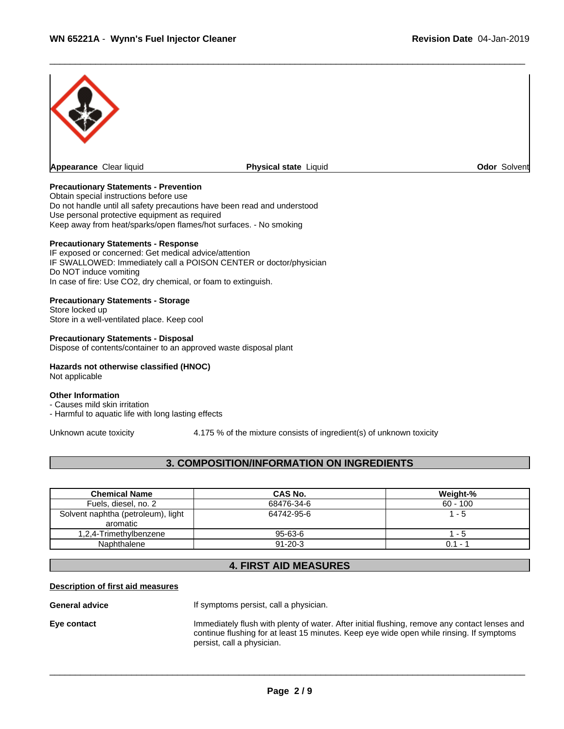

# **Precautionary Statements - Prevention**

Obtain special instructions before use Do not handle until all safety precautions have been read and understood Use personal protective equipment as required Keep away from heat/sparks/open flames/hot surfaces. - No smoking

#### **Precautionary Statements - Response**

IF exposed or concerned: Get medical advice/attention IF SWALLOWED: Immediately call a POISON CENTER or doctor/physician Do NOT induce vomiting In case of fire: Use CO2, dry chemical, or foam to extinguish.

#### **Precautionary Statements - Storage**

Store locked up Store in a well-ventilated place. Keep cool

#### **Precautionary Statements - Disposal**

Dispose of contents/container to an approved waste disposal plant

#### **Hazards not otherwise classified (HNOC)** Not applicable

# **Other Information**

- Causes mild skin irritation

- Harmful to aquatic life with long lasting effects

Unknown acute toxicity 4.175 % of the mixture consists of ingredient(s) of unknown toxicity

# **3. COMPOSITION/INFORMATION ON INGREDIENTS**

| <b>Chemical Name</b>               | CAS No.       | Weight-%   |
|------------------------------------|---------------|------------|
| Fuels, diesel, no. 2               | 68476-34-6    | $60 - 100$ |
| Solvent naphtha (petroleum), light | 64742-95-6    | - 5        |
| aromatic                           |               |            |
| 1.2.4-Trimethylbenzene             | $95 - 63 - 6$ | - 5        |
| Naphthalene                        | $91 - 20 - 3$ | $0.1 - 1$  |

# **4. FIRST AID MEASURES**

#### **Description of first aid measures**

**General advice** The If symptoms persist, call a physician.

**Eye contact** Immediately flush with plenty of water. After initial flushing, remove any contact lenses and continue flushing for at least 15 minutes. Keep eye wide open while rinsing. If symptoms persist, call a physician.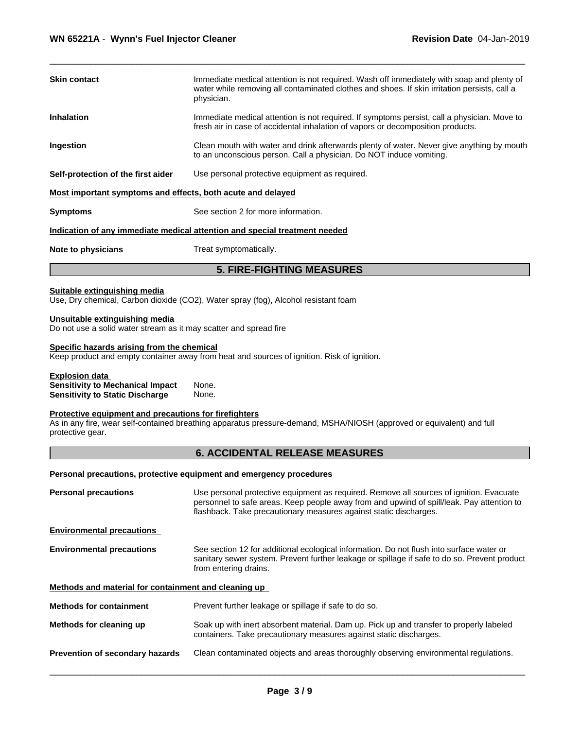| Suitable extinguishing media                                                         | <b>5. FIRE-FIGHTING MEASURES</b>                                                                                                                                                                        |  |  |  |  |
|--------------------------------------------------------------------------------------|---------------------------------------------------------------------------------------------------------------------------------------------------------------------------------------------------------|--|--|--|--|
| Note to physicians                                                                   | Treat symptomatically.                                                                                                                                                                                  |  |  |  |  |
|                                                                                      | Indication of any immediate medical attention and special treatment needed                                                                                                                              |  |  |  |  |
| <b>Symptoms</b>                                                                      | See section 2 for more information.                                                                                                                                                                     |  |  |  |  |
| Most important symptoms and effects, both acute and delayed                          |                                                                                                                                                                                                         |  |  |  |  |
| Use personal protective equipment as required.<br>Self-protection of the first aider |                                                                                                                                                                                                         |  |  |  |  |
| Ingestion                                                                            | Clean mouth with water and drink afterwards plenty of water. Never give anything by mouth<br>to an unconscious person. Call a physician. Do NOT induce vomiting.                                        |  |  |  |  |
| <b>Inhalation</b>                                                                    | Immediate medical attention is not required. If symptoms persist, call a physician. Move to<br>fresh air in case of accidental inhalation of vapors or decomposition products.                          |  |  |  |  |
| <b>Skin contact</b>                                                                  | Immediate medical attention is not required. Wash off immediately with soap and plenty of<br>water while removing all contaminated clothes and shoes. If skin irritation persists, call a<br>physician. |  |  |  |  |
|                                                                                      |                                                                                                                                                                                                         |  |  |  |  |

Use, Dry chemical, Carbon dioxide (CO2), Water spray (fog), Alcohol resistant foam

# **Unsuitable extinguishing media**

Do not use a solid water stream as it may scatter and spread fire

# **Specific hazards arising from the chemical**

Keep product and empty container away from heat and sources of ignition. Risk of ignition.

# **Explosion data**<br>**Sensitivity to Mechanical Impact** None. **Sensitivity to Mechanical Impact** None. **Sensitivity to Static Discharge**

#### **Protective equipment and precautions for firefighters**

As in any fire, wear self-contained breathing apparatus pressure-demand, MSHA/NIOSH (approved or equivalent) and full protective gear.

# **6. ACCIDENTAL RELEASE MEASURES**

# **Personal precautions, protective equipment and emergency procedures**

| Use personal protective equipment as required. Remove all sources of ignition. Evacuate<br>personnel to safe areas. Keep people away from and upwind of spill/leak. Pay attention to<br>flashback. Take precautionary measures against static discharges. |
|-----------------------------------------------------------------------------------------------------------------------------------------------------------------------------------------------------------------------------------------------------------|
|                                                                                                                                                                                                                                                           |
| See section 12 for additional ecological information. Do not flush into surface water or<br>sanitary sewer system. Prevent further leakage or spillage if safe to do so. Prevent product<br>from entering drains.                                         |
| Methods and material for containment and cleaning up                                                                                                                                                                                                      |
| Prevent further leakage or spillage if safe to do so.                                                                                                                                                                                                     |
| Soak up with inert absorbent material. Dam up. Pick up and transfer to properly labeled<br>containers. Take precautionary measures against static discharges.                                                                                             |
| Clean contaminated objects and areas thoroughly observing environmental regulations.                                                                                                                                                                      |
|                                                                                                                                                                                                                                                           |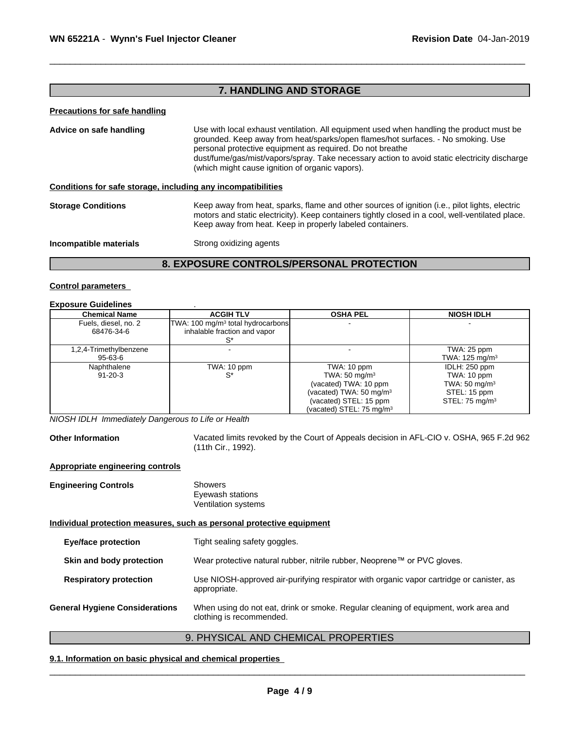# **7. HANDLING AND STORAGE**

#### **Precautions for safe handling**

**Advice on safe handling** Use with local exhaust ventilation. All equipment used when handling the productmust be grounded. Keep away from heat/sparks/open flames/hot surfaces. - No smoking. Use personal protective equipment as required.Do not breathe dust/fume/gas/mist/vapors/spray. Take necessary action to avoid static electricity discharge (which might cause ignition of organic vapors). **Conditions for safe storage, including any incompatibilities**

# **Storage Conditions** Keep away from heat, sparks, flame and other sources of ignition (i.e., pilot lights, electric motors and static electricity). Keep containers tightly closed in a cool, well-ventilated place. Keep away from heat. Keep in properly labeled containers.

**Incompatible materials** Strong oxidizing agents

# **8. EXPOSURE CONTROLS/PERSONAL PROTECTION**

#### **Control parameters**

#### **Exposure Guidelines** .

| <b>Chemical Name</b>   | <b>ACGIH TLV</b>                              | <b>OSHA PEL</b>                      | <b>NIOSH IDLH</b>         |
|------------------------|-----------------------------------------------|--------------------------------------|---------------------------|
| Fuels, diesel, no. 2   | TWA: 100 mg/m <sup>3</sup> total hydrocarbons |                                      |                           |
| 68476-34-6             | inhalable fraction and vapor                  |                                      |                           |
|                        |                                               |                                      |                           |
| 1,2,4-Trimethylbenzene |                                               |                                      | TWA: 25 ppm               |
| 95-63-6                |                                               |                                      | TWA: $125 \text{ mg/m}^3$ |
| Naphthalene            | TWA: 10 ppm                                   | TWA: 10 ppm                          | IDLH: 250 ppm             |
| $91 - 20 - 3$          | S*                                            | TWA: 50 mg/m <sup>3</sup>            | TWA: 10 ppm               |
|                        |                                               | (vacated) TWA: 10 ppm                | TWA: $50 \text{ mg/m}^3$  |
|                        |                                               | (vacated) TWA: $50 \text{ mg/m}^3$   | STEL: 15 ppm              |
|                        |                                               | (vacated) STEL: 15 ppm               | STEL: 75 $mq/m3$          |
|                        |                                               | (vacated) STEL: 75 mg/m <sup>3</sup> |                           |

*NIOSH IDLH Immediately Dangerous to Life or Health*

**Other Information** Vacated limits revoked by the Court of Appeals decision in AFL-CIO v.OSHA, 965 F.2d 962 (11th Cir., 1992).

#### **Appropriate engineering controls**

**Engineering Controls** Showers Eyewash stations Ventilation systems **Individual protection measures, such as personal protective equipment Eye/face protection** Tight sealing safety goggles. **Skin and body protection** Wear protective natural rubber, nitrile rubber, Neoprene™ or PVC gloves. **Respiratory protection** Use NIOSH-approved air-purifying respirator with organic vapor cartridge or canister, as appropriate. **General Hygiene Considerations** When using do not eat, drink or smoke. Regular cleaning of equipment, work area and clothing is recommended.

# 9. PHYSICAL AND CHEMICAL PROPERTIES

 $\overline{\phantom{a}}$  ,  $\overline{\phantom{a}}$  ,  $\overline{\phantom{a}}$  ,  $\overline{\phantom{a}}$  ,  $\overline{\phantom{a}}$  ,  $\overline{\phantom{a}}$  ,  $\overline{\phantom{a}}$  ,  $\overline{\phantom{a}}$  ,  $\overline{\phantom{a}}$  ,  $\overline{\phantom{a}}$  ,  $\overline{\phantom{a}}$  ,  $\overline{\phantom{a}}$  ,  $\overline{\phantom{a}}$  ,  $\overline{\phantom{a}}$  ,  $\overline{\phantom{a}}$  ,  $\overline{\phantom{a}}$ 

# **9.1. Information on basic physical and chemical properties**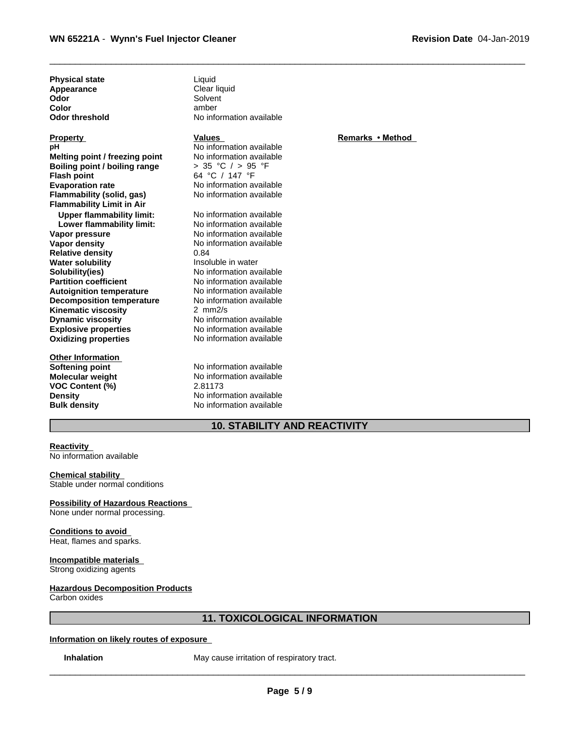**Physical state** Liquid **Appearance** Clear liquid **Odor** Solvent Solvent Solvent Solvent Solvent Solvent Solvent Solvent Solvent Solvent Solvent Solvent Solvent Solvent Solvent Solvent Solvent Solvent Solvent Solvent Solvent Solvent Solvent Solvent Solvent Solvent Solvent

**Explosive properties**<br> **Explosive properties**<br>
No information available<br>
No information available **Oxidizing properties Melting point / freezing point**<br> **Boiling point / boiling range**  $\rightarrow$  35 °C / > 95 °F **Boiling point / boiling range Flash point** 64 °C / 147 °F **Evaporation rate** No information available **Flammability (solid, gas)** No information available **Flammability Limit in Air Upper flammability limit:** No information available<br> **Lower flammability limit:** No information available **Lower flammability limit:**<br>Vapor pressure **Vapor pressure No information available**<br> **Vapor density No information available Relative density** 0.84<br> **Water solubility CONFIDENT** Insoluble in water **Water solubility Solubility(ies)** No information available **Partition coefficient** No information available **Autoignition temperature No information available**<br> **Decomposition temperature No information available Decomposition temperature** No inform<br>**Kinematic viscosity** 2 mm<sup>2/s</sup> **Kinematic viscosity Dynamic viscosity** No information available

**Other Information VOC Content (%)** 2.81173

**Color** amber **Odor threshold** No information available

**pH** No information available<br> **Melting point / freezing point** No information available

**No information available** 0.84

**Softening point** No information available **Molecular weight** No information available **Density** No information available **Bulk density** No information available

# **10. STABILITY AND REACTIVITY**

**Reactivity** No information available

# **Chemical stability**

Stable under normal conditions

# **Possibility of Hazardous Reactions**

None under normal processing.

# **Conditions to avoid** Heat, flames and sparks.

**Incompatible materials** Strong oxidizing agents

#### **Hazardous Decomposition Products** Carbon oxides

# **11. TOXICOLOGICAL INFORMATION**

# **Information on likely routes of exposure**

**Inhalation** May cause irritation of respiratory tract.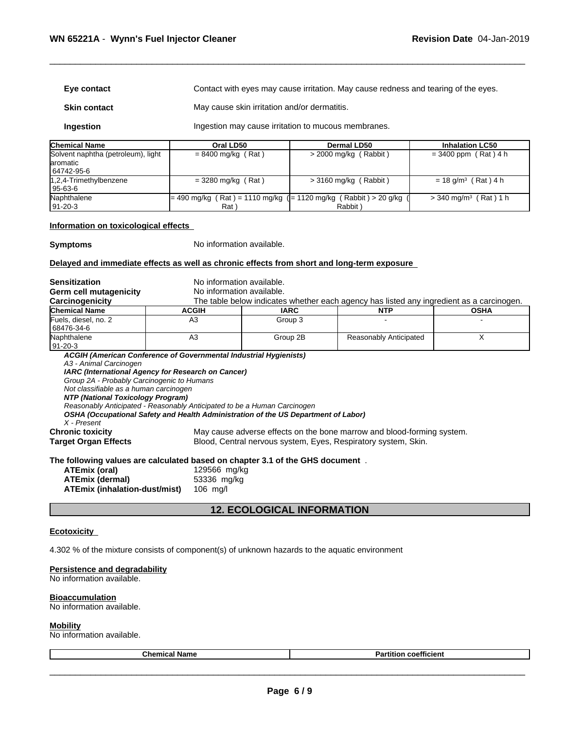| Eye contact                                                                                                                                                                                                                                                                                                                                                                                                                                                       |                             | Contact with eyes may cause irritation. May cause redness and tearing of the eyes. |  |                                                                                                                                          |                                                                                          |  |  |
|-------------------------------------------------------------------------------------------------------------------------------------------------------------------------------------------------------------------------------------------------------------------------------------------------------------------------------------------------------------------------------------------------------------------------------------------------------------------|-----------------------------|------------------------------------------------------------------------------------|--|------------------------------------------------------------------------------------------------------------------------------------------|------------------------------------------------------------------------------------------|--|--|
| <b>Skin contact</b>                                                                                                                                                                                                                                                                                                                                                                                                                                               |                             | May cause skin irritation and/or dermatitis.                                       |  |                                                                                                                                          |                                                                                          |  |  |
| Ingestion                                                                                                                                                                                                                                                                                                                                                                                                                                                         |                             | Ingestion may cause irritation to mucous membranes.                                |  |                                                                                                                                          |                                                                                          |  |  |
| <b>Chemical Name</b>                                                                                                                                                                                                                                                                                                                                                                                                                                              |                             | Oral LD50<br><b>Dermal LD50</b><br><b>Inhalation LC50</b>                          |  |                                                                                                                                          |                                                                                          |  |  |
| Solvent naphtha (petroleum), light<br>laromatic<br>64742-95-6                                                                                                                                                                                                                                                                                                                                                                                                     | $= 8400$ mg/kg (Rat)        |                                                                                    |  | > 2000 mg/kg (Rabbit)                                                                                                                    | $= 3400$ ppm (Rat) 4 h                                                                   |  |  |
| 1,2,4-Trimethylbenzene<br>95-63-6                                                                                                                                                                                                                                                                                                                                                                                                                                 | $=$ 3280 mg/kg (Rat)        |                                                                                    |  | $>$ 3160 mg/kg (Rabbit)                                                                                                                  | $= 18$ g/m <sup>3</sup> (Rat) 4 h                                                        |  |  |
| Naphthalene<br>91-20-3                                                                                                                                                                                                                                                                                                                                                                                                                                            | Rat)                        |                                                                                    |  | = 490 mg/kg ( Rat ) = 1110 mg/kg ( = 1120 mg/kg ( Rabbit ) > 20 g/kg<br>Rabbit)                                                          | $>$ 340 mg/m <sup>3</sup> (Rat) 1 h                                                      |  |  |
| Information on toxicological effects                                                                                                                                                                                                                                                                                                                                                                                                                              |                             |                                                                                    |  |                                                                                                                                          |                                                                                          |  |  |
| <b>Symptoms</b>                                                                                                                                                                                                                                                                                                                                                                                                                                                   |                             | No information available.                                                          |  |                                                                                                                                          |                                                                                          |  |  |
| Delayed and immediate effects as well as chronic effects from short and long-term exposure                                                                                                                                                                                                                                                                                                                                                                        |                             |                                                                                    |  |                                                                                                                                          |                                                                                          |  |  |
| <b>Sensitization</b>                                                                                                                                                                                                                                                                                                                                                                                                                                              |                             | No information available.                                                          |  |                                                                                                                                          |                                                                                          |  |  |
| <b>Germ cell mutagenicity</b>                                                                                                                                                                                                                                                                                                                                                                                                                                     |                             | No information available.                                                          |  |                                                                                                                                          |                                                                                          |  |  |
| Carcinogenicity                                                                                                                                                                                                                                                                                                                                                                                                                                                   |                             |                                                                                    |  |                                                                                                                                          | The table below indicates whether each agency has listed any ingredient as a carcinogen. |  |  |
| <b>Chemical Name</b>                                                                                                                                                                                                                                                                                                                                                                                                                                              | <b>ACGIH</b>                | <b>IARC</b>                                                                        |  | <b>NTP</b>                                                                                                                               | <b>OSHA</b>                                                                              |  |  |
| Fuels, diesel, no. 2<br>68476-34-6                                                                                                                                                                                                                                                                                                                                                                                                                                | A3                          | Group 3                                                                            |  |                                                                                                                                          |                                                                                          |  |  |
| Naphthalene<br>$91 - 20 - 3$                                                                                                                                                                                                                                                                                                                                                                                                                                      | A3                          | Group 2B<br>Reasonably Anticipated                                                 |  | X                                                                                                                                        |                                                                                          |  |  |
| ACGIH (American Conference of Governmental Industrial Hygienists)<br>A3 - Animal Carcinogen<br>IARC (International Agency for Research on Cancer)<br>Group 2A - Probably Carcinogenic to Humans<br>Not classifiable as a human carcinogen<br>NTP (National Toxicology Program)<br>Reasonably Anticipated - Reasonably Anticipated to be a Human Carcinogen<br>OSHA (Occupational Safety and Health Administration of the US Department of Labor)<br>$X$ - Present |                             |                                                                                    |  |                                                                                                                                          |                                                                                          |  |  |
| <b>Chronic toxicity</b><br><b>Target Organ Effects</b>                                                                                                                                                                                                                                                                                                                                                                                                            |                             |                                                                                    |  | May cause adverse effects on the bone marrow and blood-forming system.<br>Blood, Central nervous system, Eyes, Respiratory system, Skin. |                                                                                          |  |  |
| The following values are calculated based on chapter 3.1 of the GHS document.<br><b>ATEmix (oral)</b><br><b>ATEmix (dermal)</b>                                                                                                                                                                                                                                                                                                                                   | 129566 mg/kg<br>53336 mg/kg |                                                                                    |  |                                                                                                                                          |                                                                                          |  |  |

# **12. ECOLOGICAL INFORMATION**

# **Ecotoxicity**

4.302 % of the mixture consists of component(s) of unknown hazards to the aquatic environment

# **Persistence and degradability**

**ATEmix (dermal)** 53336 mg<br>**ATEmix (inhalation-dust/mist)** 106 mg/l

**ATEmix** (inhalation-dust/mist)

No information available.

# **Bioaccumulation**

No information available.

#### **Mobility**

No information available.

| $\sim$ $\sim$ $\sim$ $\sim$ $\sim$ | nhom.<br>Name | $- - -$<br>innt<br>. .<br>coemcient<br>- |
|------------------------------------|---------------|------------------------------------------|
|------------------------------------|---------------|------------------------------------------|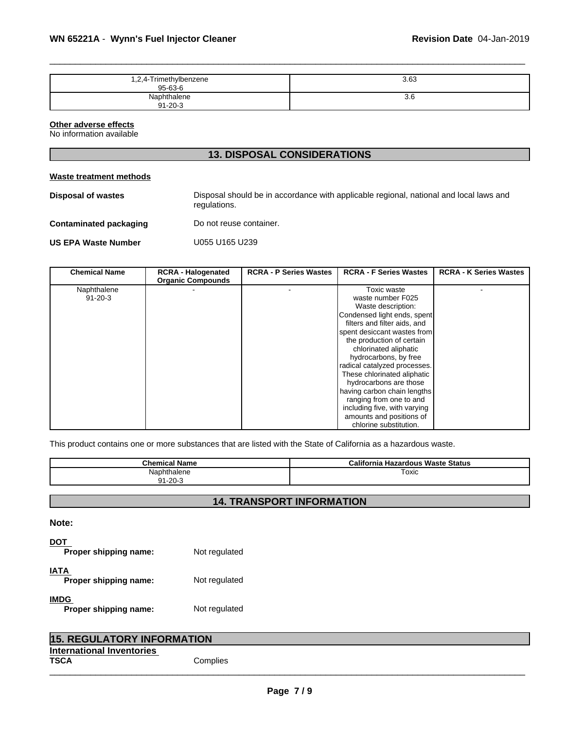| 1,2,4-Trimethylbenzene | 3.63 |
|------------------------|------|
| $95 - 63 - 6$          |      |
| Naphthalene            | კ.ხ  |
| $91 - 20 - 3$          |      |

# **Other adverse effects**

No information available

# **13. DISPOSAL CONSIDERATIONS**

#### **Waste treatment methods**

**Disposal of wastes** Disposal should be in accordance with applicable regional, national and local laws and regulations. **Contaminated packaging** Do not reuse container. **US EPA Waste Number** U055 U165 U239

| <b>Chemical Name</b> | <b>RCRA - Halogenated</b><br><b>Organic Compounds</b> | <b>RCRA - P Series Wastes</b> | <b>RCRA - F Series Wastes</b> | <b>RCRA - K Series Wastes</b> |  |
|----------------------|-------------------------------------------------------|-------------------------------|-------------------------------|-------------------------------|--|
| Naphthalene          |                                                       |                               | Toxic waste                   |                               |  |
| $91 - 20 - 3$        |                                                       |                               | waste number F025             |                               |  |
|                      |                                                       |                               | Waste description:            |                               |  |
|                      |                                                       |                               | Condensed light ends, spent   |                               |  |
|                      |                                                       |                               | filters and filter aids, and  |                               |  |
|                      |                                                       |                               | spent desiccant wastes from   |                               |  |
|                      |                                                       |                               | the production of certain     |                               |  |
|                      |                                                       |                               | chlorinated aliphatic         |                               |  |
|                      |                                                       |                               | hydrocarbons, by free         |                               |  |
|                      |                                                       |                               | radical catalyzed processes.  |                               |  |
|                      |                                                       |                               | These chlorinated aliphatic   |                               |  |
|                      |                                                       |                               | hydrocarbons are those        |                               |  |
|                      |                                                       |                               | having carbon chain lengths   |                               |  |
|                      |                                                       |                               | ranging from one to and       |                               |  |
|                      |                                                       |                               | including five, with varying  |                               |  |
|                      |                                                       |                               | amounts and positions of      |                               |  |
|                      |                                                       |                               | chlorine substitution.        |                               |  |

This product contains one or more substances that are listed with the State of California as a hazardous waste.

| .<br>ne"<br>vame | 'alifornia،<br><b>Hazardous Waste Status</b> |
|------------------|----------------------------------------------|
| Naphthalene      | Toxic                                        |
| $91 - 20 - 3$    |                                              |

# **14. TRANSPORT INFORMATION**

# **Note:**

| DOT<br>Proper shipping name:         | Not regulated |  |
|--------------------------------------|---------------|--|
| IATA<br>Proper shipping name:        | Not regulated |  |
| <b>IMDG</b><br>Proper shipping name: | Not regulated |  |

| <b>15. REGULATORY INFORMATION</b>               |          |  |
|-------------------------------------------------|----------|--|
| <b>International Inventories</b><br><b>TSCA</b> | Complies |  |
|                                                 |          |  |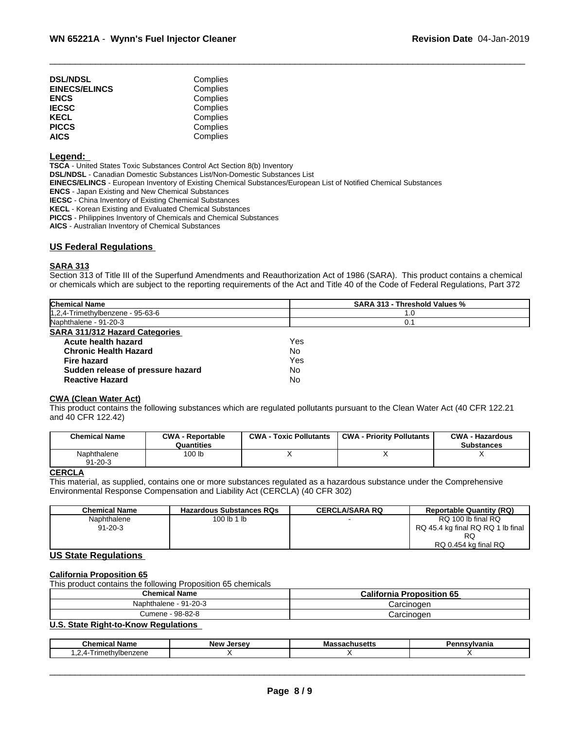| <b>DSL/NDSL</b>      | Complies |  |
|----------------------|----------|--|
| <b>EINECS/ELINCS</b> | Complies |  |
| <b>ENCS</b>          | Complies |  |
| <b>IECSC</b>         | Complies |  |
| KECL                 | Complies |  |
| <b>PICCS</b>         | Complies |  |
| <b>AICS</b>          | Complies |  |
|                      |          |  |

#### **Legend:**

**TSCA** - United States Toxic Substances Control Act Section 8(b) Inventory

**DSL/NDSL** - Canadian Domestic Substances List/Non-Domestic Substances List

**EINECS/ELINCS** - European Inventory of Existing Chemical Substances/European List of Notified Chemical Substances

**ENCS** - Japan Existing and New Chemical Substances

**IECSC** - China Inventory of Existing Chemical Substances

**KECL** - Korean Existing and Evaluated Chemical Substances

**PICCS** - Philippines Inventory of Chemicals and Chemical Substances

**AICS** - Australian Inventory of Chemical Substances

# **US Federal Regulations**

# **SARA 313**

Section 313 of Title III of the Superfund Amendments and Reauthorization Act of 1986 (SARA). This product contains a chemical or chemicals which are subject to the reporting requirements of the Act and Title 40 of the Code of Federal Regulations, Part 372

| 1,2,4-Trimethylbenzene - 95-63-6<br>1.0 |  |
|-----------------------------------------|--|
| Naphthalene - 91-20-3<br>0.1            |  |
| <b>SARA 311/312 Hazard Categories</b>   |  |
| Acute health hazard<br>Yes              |  |
| No<br><b>Chronic Health Hazard</b>      |  |
| Yes<br><b>Fire hazard</b>               |  |
| Sudden release of pressure hazard<br>No |  |
| No<br><b>Reactive Hazard</b>            |  |

# **CWA** (Clean Water Act)

This product contains the following substances which are regulated pollutants pursuant to the Clean Water Act (40 CFR 122.21 and 40 CFR 122.42)

| <b>Chemical Name</b>         | <b>CWA - Reportable</b><br>Quantities | <b>CWA - Toxic Pollutants</b> | <b>CWA - Priority Pollutants</b> | <b>CWA - Hazardous</b><br><b>Substances</b> |
|------------------------------|---------------------------------------|-------------------------------|----------------------------------|---------------------------------------------|
| Naphthalene<br>$91 - 20 - 3$ | 100 lb                                |                               |                                  |                                             |

# **CERCLA**

This material, as supplied, contains one or more substances regulated as a hazardous substance under the Comprehensive Environmental Response Compensation and Liability Act (CERCLA) (40 CFR 302)

| <b>Chemical Name</b> | <b>Hazardous Substances RQs</b> | <b>CERCLA/SARA RQ</b> | <b>Reportable Quantity (RQ)</b>   |
|----------------------|---------------------------------|-----------------------|-----------------------------------|
| Naphthalene          | 100 lb 1 lb                     |                       | RQ 100 lb final RQ                |
| $91 - 20 - 3$        |                                 |                       | RQ 45.4 kg final RQ RQ 1 lb final |
|                      |                                 |                       | RQ                                |
|                      |                                 |                       | RQ 0.454 kg final RQ              |

# **US State Regulations**

# **California Proposition 65**

This product contains the following Proposition 65 chemicals

| <b>Chemical Name</b>  | <b>California Proposition 65</b> |  |
|-----------------------|----------------------------------|--|
| Naphthalene - 91-20-3 | Carcinoden                       |  |
| 98-82-8<br>Cumene     | Carcinoger                       |  |

# **U.S. State Right-to-Know Regulations**

| $\mathbf{B}$<br>∣Name<br>$\cdots$<br>Chemical | <b>New</b><br>Jersev | 1111111111111112 | ,,,,,<br>anna, |
|-----------------------------------------------|----------------------|------------------|----------------|
| 31 IZ 51 I 5<br>.<br>$\sim$                   |                      |                  |                |